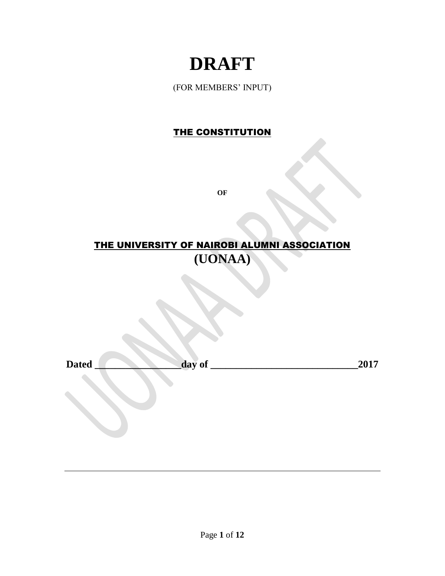# **DRAFT**

(FOR MEMBERS' INPUT)

# THE CONSTITUTION

**OF**

# THE UNIVERSITY OF NAIROBI ALUMNI ASSOCIATION **(UONAA)**

| <b>Dated</b> | Λt<br><b>ua</b><br>. v. | . .<br>-- |
|--------------|-------------------------|-----------|
|              |                         |           |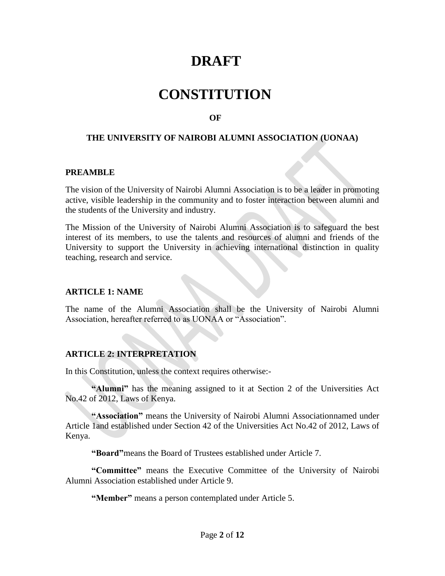# **DRAFT**

# **CONSTITUTION**

# *OF*

#### **THE UNIVERSITY OF NAIROBI ALUMNI ASSOCIATION (UONAA)**

#### **PREAMBLE**

The vision of the University of Nairobi Alumni Association is to be a leader in promoting active, visible leadership in the community and to foster interaction between alumni and the students of the University and industry.

The Mission of the University of Nairobi Alumni Association is to safeguard the best interest of its members, to use the talents and resources of alumni and friends of the University to support the University in achieving international distinction in quality teaching, research and service.

#### **ARTICLE 1: NAME**

The name of the Alumni Association shall be the University of Nairobi Alumni Association, hereafter referred to as UONAA or "Association".

# **ARTICLE 2: INTERPRETATION**

In this Constitution, unless the context requires otherwise:-

**"Alumni"** has the meaning assigned to it at Section 2 of the Universities Act No.42 of 2012, Laws of Kenya.

**"Association"** means the University of Nairobi Alumni Associationnamed under Article 1and established under Section 42 of the Universities Act No.42 of 2012, Laws of Kenya.

**"Board"**means the Board of Trustees established under Article 7.

**"Committee"** means the Executive Committee of the University of Nairobi Alumni Association established under Article 9.

**"Member"** means a person contemplated under Article 5.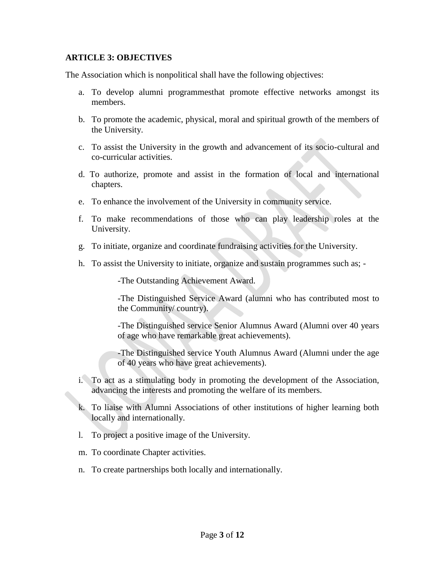# **ARTICLE 3: OBJECTIVES**

The Association which is nonpolitical shall have the following objectives:

- a. To develop alumni programmesthat promote effective networks amongst its members.
- b. To promote the academic, physical, moral and spiritual growth of the members of the University.
- c. To assist the University in the growth and advancement of its socio-cultural and co-curricular activities.
- d. To authorize, promote and assist in the formation of local and international chapters.
- e. To enhance the involvement of the University in community service.
- f. To make recommendations of those who can play leadership roles at the University.
- g. To initiate, organize and coordinate fundraising activities for the University.
- h. To assist the University to initiate, organize and sustain programmes such as; -

-The Outstanding Achievement Award.

-The Distinguished Service Award (alumni who has contributed most to the Community/ country).

-The Distinguished service Senior Alumnus Award (Alumni over 40 years of age who have remarkable great achievements).

-The Distinguished service Youth Alumnus Award (Alumni under the age of 40 years who have great achievements).

- i. To act as a stimulating body in promoting the development of the Association, advancing the interests and promoting the welfare of its members.
- k. To liaise with Alumni Associations of other institutions of higher learning both locally and internationally.
- l. To project a positive image of the University.
- m. To coordinate Chapter activities.
- n. To create partnerships both locally and internationally.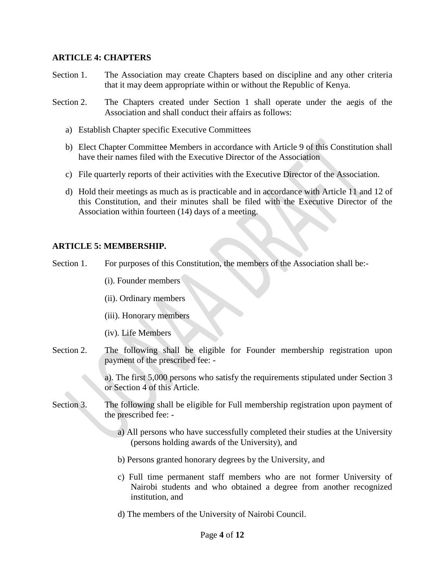#### **ARTICLE 4: CHAPTERS**

- Section 1. The Association may create Chapters based on discipline and any other criteria that it may deem appropriate within or without the Republic of Kenya.
- Section 2. The Chapters created under Section 1 shall operate under the aegis of the Association and shall conduct their affairs as follows:
	- a) Establish Chapter specific Executive Committees
	- b) Elect Chapter Committee Members in accordance with Article 9 of this Constitution shall have their names filed with the Executive Director of the Association
	- c) File quarterly reports of their activities with the Executive Director of the Association.
	- d) Hold their meetings as much as is practicable and in accordance with Article 11 and 12 of this Constitution, and their minutes shall be filed with the Executive Director of the Association within fourteen (14) days of a meeting.

#### **ARTICLE 5: MEMBERSHIP.**

Section 1. For purposes of this Constitution, the members of the Association shall be:-

- (i). Founder members
- (ii). Ordinary members
- (iii). Honorary members
- (iv). Life Members
- Section 2. The following shall be eligible for Founder membership registration upon payment of the prescribed fee: -

a). The first 5,000 persons who satisfy the requirements stipulated under Section 3 or Section 4 of this Article.

- Section 3. The following shall be eligible for Full membership registration upon payment of the prescribed fee:
	- a) All persons who have successfully completed their studies at the University (persons holding awards of the University), and
	- b) Persons granted honorary degrees by the University, and
	- c) Full time permanent staff members who are not former University of Nairobi students and who obtained a degree from another recognized institution, and
	- d) The members of the University of Nairobi Council.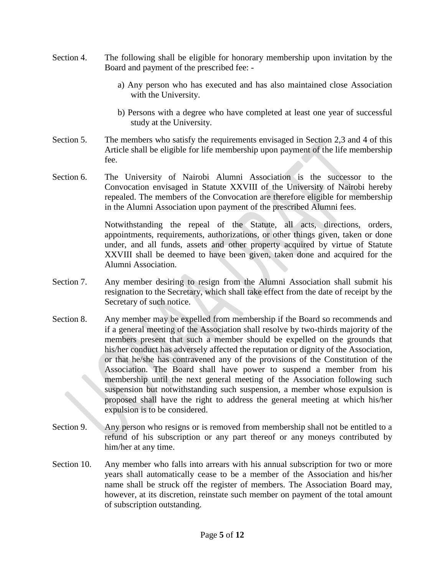- Section 4. The following shall be eligible for honorary membership upon invitation by the Board and payment of the prescribed fee:
	- a) Any person who has executed and has also maintained close Association with the University.
	- b) Persons with a degree who have completed at least one year of successful study at the University.
- Section 5. The members who satisfy the requirements envisaged in Section 2,3 and 4 of this Article shall be eligible for life membership upon payment of the life membership fee.
- Section 6. The University of Nairobi Alumni Association is the successor to the Convocation envisaged in Statute XXVIII of the University of Nairobi hereby repealed. The members of the Convocation are therefore eligible for membership in the Alumni Association upon payment of the prescribed Alumni fees.

Notwithstanding the repeal of the Statute, all acts, directions, orders, appointments, requirements, authorizations, or other things given, taken or done under, and all funds, assets and other property acquired by virtue of Statute XXVIII shall be deemed to have been given, taken done and acquired for the Alumni Association.

- Section 7. Any member desiring to resign from the Alumni Association shall submit his resignation to the Secretary, which shall take effect from the date of receipt by the Secretary of such notice.
- Section 8. Any member may be expelled from membership if the Board so recommends and if a general meeting of the Association shall resolve by two-thirds majority of the members present that such a member should be expelled on the grounds that his/her conduct has adversely affected the reputation or dignity of the Association, or that he/she has contravened any of the provisions of the Constitution of the Association. The Board shall have power to suspend a member from his membership until the next general meeting of the Association following such suspension but notwithstanding such suspension, a member whose expulsion is proposed shall have the right to address the general meeting at which his/her expulsion is to be considered.
- Section 9. Any person who resigns or is removed from membership shall not be entitled to a refund of his subscription or any part thereof or any moneys contributed by him/her at any time.
- Section 10. Any member who falls into arrears with his annual subscription for two or more years shall automatically cease to be a member of the Association and his/her name shall be struck off the register of members. The Association Board may, however, at its discretion, reinstate such member on payment of the total amount of subscription outstanding.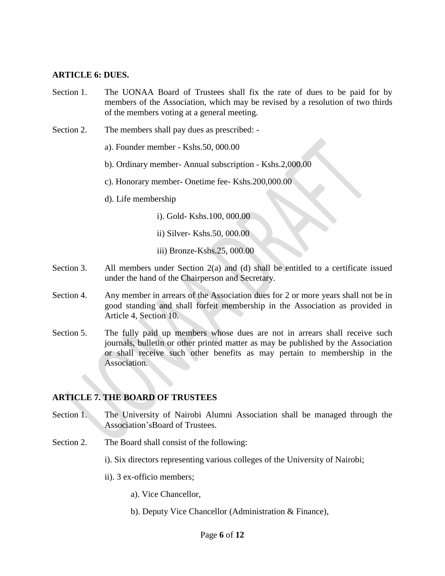#### **ARTICLE 6: DUES.**

- Section 1. The UONAA Board of Trustees shall fix the rate of dues to be paid for by members of the Association, which may be revised by a resolution of two thirds of the members voting at a general meeting.
- Section 2. The members shall pay dues as prescribed:
	- a). Founder member Kshs.50, 000.00
	- b). Ordinary member- Annual subscription Kshs.2,000.00
	- c). Honorary member- Onetime fee- Kshs.200,000.00
	- d). Life membership
		- i). Gold- Kshs.100, 000.00
		- ii) Silver- Kshs.50, 000.00
		- iii) Bronze-Kshs.25, 000.00
- Section 3. All members under Section 2(a) and (d) shall be entitled to a certificate issued under the hand of the Chairperson and Secretary.
- Section 4. Any member in arrears of the Association dues for 2 or more years shall not be in good standing and shall forfeit membership in the Association as provided in Article 4, Section 10.
- Section 5. The fully paid up members whose dues are not in arrears shall receive such journals, bulletin or other printed matter as may be published by the Association or shall receive such other benefits as may pertain to membership in the Association.

#### **ARTICLE 7. THE BOARD OF TRUSTEES**

- Section 1. The University of Nairobi Alumni Association shall be managed through the Association'sBoard of Trustees.
- Section 2. The Board shall consist of the following:
	- i). Six directors representing various colleges of the University of Nairobi;
	- ii). 3 ex-officio members;
		- a). Vice Chancellor,
		- b). Deputy Vice Chancellor (Administration & Finance),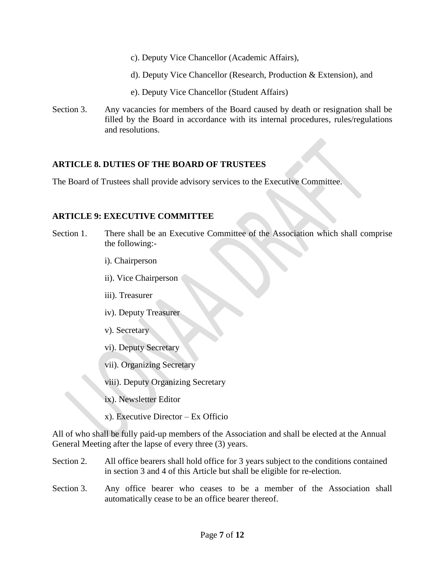- c). Deputy Vice Chancellor (Academic Affairs),
- d). Deputy Vice Chancellor (Research, Production & Extension), and
- e). Deputy Vice Chancellor (Student Affairs)
- Section 3. Any vacancies for members of the Board caused by death or resignation shall be filled by the Board in accordance with its internal procedures, rules/regulations and resolutions.

# **ARTICLE 8. DUTIES OF THE BOARD OF TRUSTEES**

The Board of Trustees shall provide advisory services to the Executive Committee.

# **ARTICLE 9: EXECUTIVE COMMITTEE**

- Section 1. There shall be an Executive Committee of the Association which shall comprise the following:
	- i). Chairperson
	- ii). Vice Chairperson
	- iii). Treasurer
	- iv). Deputy Treasurer
	- v). Secretary
	- vi). Deputy Secretary
	- vii). Organizing Secretary
	- viii). Deputy Organizing Secretary
	- ix). Newsletter Editor
	- x). Executive Director Ex Officio

All of who shall be fully paid-up members of the Association and shall be elected at the Annual General Meeting after the lapse of every three (3) years.

- Section 2. All office bearers shall hold office for 3 years subject to the conditions contained in section 3 and 4 of this Article but shall be eligible for re-election.
- Section 3. Any office bearer who ceases to be a member of the Association shall automatically cease to be an office bearer thereof.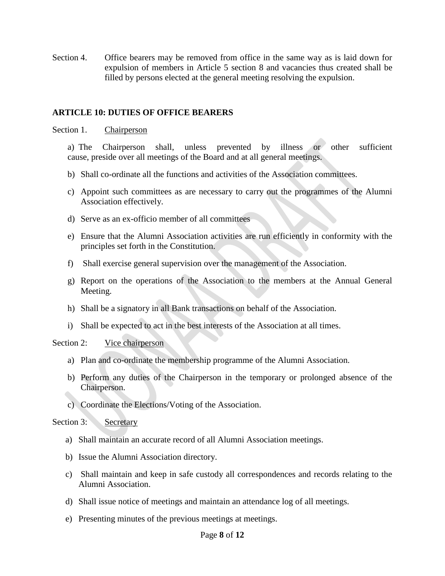Section 4. Office bearers may be removed from office in the same way as is laid down for expulsion of members in Article 5 section 8 and vacancies thus created shall be filled by persons elected at the general meeting resolving the expulsion.

#### **ARTICLE 10: DUTIES OF OFFICE BEARERS**

Section 1. Chairperson

a) The Chairperson shall, unless prevented by illness or other sufficient cause, preside over all meetings of the Board and at all general meetings.

- b) Shall co-ordinate all the functions and activities of the Association committees.
- c) Appoint such committees as are necessary to carry out the programmes of the Alumni Association effectively.
- d) Serve as an ex-officio member of all committees
- e) Ensure that the Alumni Association activities are run efficiently in conformity with the principles set forth in the Constitution.
- f) Shall exercise general supervision over the management of the Association.
- g) Report on the operations of the Association to the members at the Annual General Meeting.
- h) Shall be a signatory in all Bank transactions on behalf of the Association.
- i) Shall be expected to act in the best interests of the Association at all times.

Section 2: Vice chairperson

- a) Plan and co-ordinate the membership programme of the Alumni Association.
- b) Perform any duties of the Chairperson in the temporary or prolonged absence of the Chairperson.
- c) Coordinate the Elections/Voting of the Association.

Section 3: Secretary

- a) Shall maintain an accurate record of all Alumni Association meetings.
- b) Issue the Alumni Association directory.
- c) Shall maintain and keep in safe custody all correspondences and records relating to the Alumni Association.
- d) Shall issue notice of meetings and maintain an attendance log of all meetings.
- e) Presenting minutes of the previous meetings at meetings.

#### Page **8** of **12**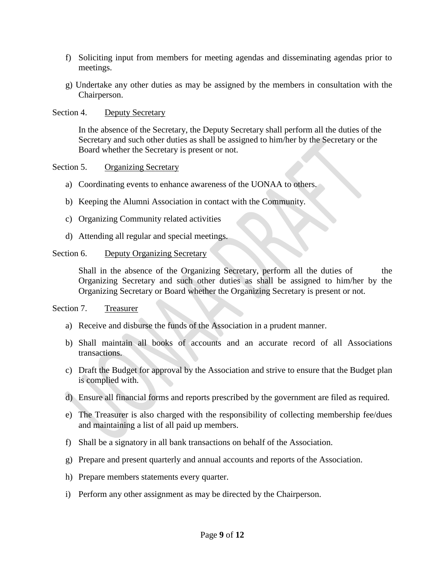- f) Soliciting input from members for meeting agendas and disseminating agendas prior to meetings.
- g) Undertake any other duties as may be assigned by the members in consultation with the Chairperson.

Section 4. Deputy Secretary

In the absence of the Secretary, the Deputy Secretary shall perform all the duties of the Secretary and such other duties as shall be assigned to him/her by the Secretary or the Board whether the Secretary is present or not.

Section 5. Organizing Secretary

- a) Coordinating events to enhance awareness of the UONAA to others.
- b) Keeping the Alumni Association in contact with the Community.
- c) Organizing Community related activities
- d) Attending all regular and special meetings.

#### Section 6. Deputy Organizing Secretary

Shall in the absence of the Organizing Secretary, perform all the duties of the Organizing Secretary and such other duties as shall be assigned to him/her by the Organizing Secretary or Board whether the Organizing Secretary is present or not.

#### Section 7. Treasurer

- a) Receive and disburse the funds of the Association in a prudent manner.
- b) Shall maintain all books of accounts and an accurate record of all Associations transactions.
- c) Draft the Budget for approval by the Association and strive to ensure that the Budget plan is complied with.
- d) Ensure all financial forms and reports prescribed by the government are filed as required.
- e) The Treasurer is also charged with the responsibility of collecting membership fee/dues and maintaining a list of all paid up members.
- f) Shall be a signatory in all bank transactions on behalf of the Association.
- g) Prepare and present quarterly and annual accounts and reports of the Association.
- h) Prepare members statements every quarter.
- i) Perform any other assignment as may be directed by the Chairperson.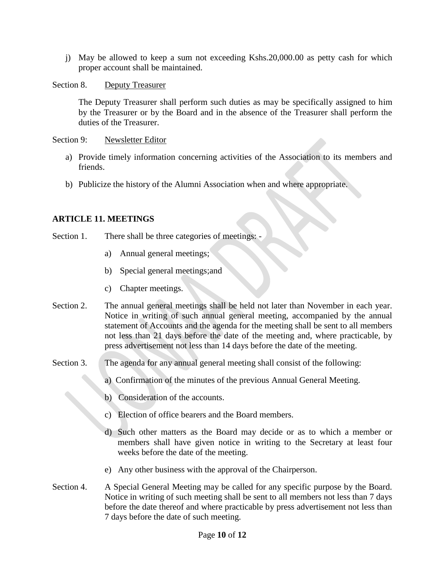j) May be allowed to keep a sum not exceeding Kshs.20,000.00 as petty cash for which proper account shall be maintained.

Section 8. Deputy Treasurer

The Deputy Treasurer shall perform such duties as may be specifically assigned to him by the Treasurer or by the Board and in the absence of the Treasurer shall perform the duties of the Treasurer.

Section 9: Newsletter Editor

- a) Provide timely information concerning activities of the Association to its members and friends.
- b) Publicize the history of the Alumni Association when and where appropriate.

# **ARTICLE 11. MEETINGS**

- Section 1. There shall be three categories of meetings:
	- a) Annual general meetings;
	- b) Special general meetings;and
	- c) Chapter meetings.
- Section 2. The annual general meetings shall be held not later than November in each year. Notice in writing of such annual general meeting, accompanied by the annual statement of Accounts and the agenda for the meeting shall be sent to all members not less than 21 days before the date of the meeting and, where practicable, by press advertisement not less than 14 days before the date of the meeting.
- Section 3. The agenda for any annual general meeting shall consist of the following:
	- a) Confirmation of the minutes of the previous Annual General Meeting.
	- b) Consideration of the accounts.
	- c) Election of office bearers and the Board members.
	- d) Such other matters as the Board may decide or as to which a member or members shall have given notice in writing to the Secretary at least four weeks before the date of the meeting.
	- e) Any other business with the approval of the Chairperson.
- Section 4. A Special General Meeting may be called for any specific purpose by the Board. Notice in writing of such meeting shall be sent to all members not less than 7 days before the date thereof and where practicable by press advertisement not less than 7 days before the date of such meeting.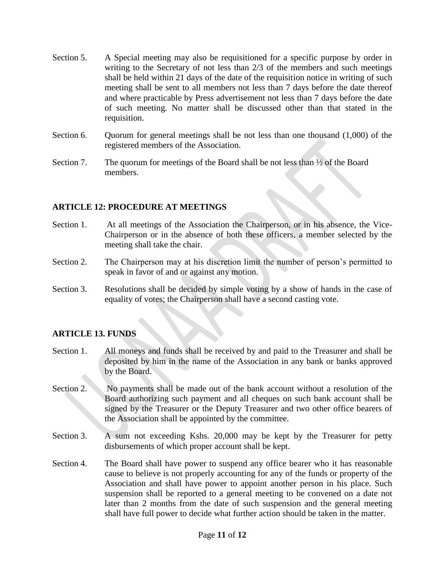- Section 5. A Special meeting may also be requisitioned for a specific purpose by order in writing to the Secretary of not less than 2/3 of the members and such meetings shall be held within 21 days of the date of the requisition notice in writing of such meeting shall be sent to all members not less than 7 days before the date thereof and where practicable by Press advertisement not less than 7 days before the date of such meeting. No matter shall be discussed other than that stated in the requisition.
- Section 6. Quorum for general meetings shall be not less than one thousand (1,000) of the registered members of the Association.
- Section 7. The quorum for meetings of the Board shall be not less than  $\frac{1}{2}$  of the Board members.

#### **ARTICLE 12: PROCEDURE AT MEETINGS**

- Section 1. At all meetings of the Association the Chairperson, or in his absence, the Vice-Chairperson or in the absence of both these officers, a member selected by the meeting shall take the chair.
- Section 2. The Chairperson may at his discretion limit the number of person's permitted to speak in favor of and or against any motion.
- Section 3. Resolutions shall be decided by simple voting by a show of hands in the case of equality of votes; the Chairperson shall have a second casting vote.

# **ARTICLE 13. FUNDS**

- Section 1. All moneys and funds shall be received by and paid to the Treasurer and shall be deposited by him in the name of the Association in any bank or banks approved by the Board.
- Section 2. No payments shall be made out of the bank account without a resolution of the Board authorizing such payment and all cheques on such bank account shall be signed by the Treasurer or the Deputy Treasurer and two other office bearers of the Association shall be appointed by the committee.
- Section 3. A sum not exceeding Kshs. 20,000 may be kept by the Treasurer for petty disbursements of which proper account shall be kept.
- Section 4. The Board shall have power to suspend any office bearer who it has reasonable cause to believe is not properly accounting for any of the funds or property of the Association and shall have power to appoint another person in his place. Such suspension shall be reported to a general meeting to be convened on a date not later than 2 months from the date of such suspension and the general meeting shall have full power to decide what further action should be taken in the matter.